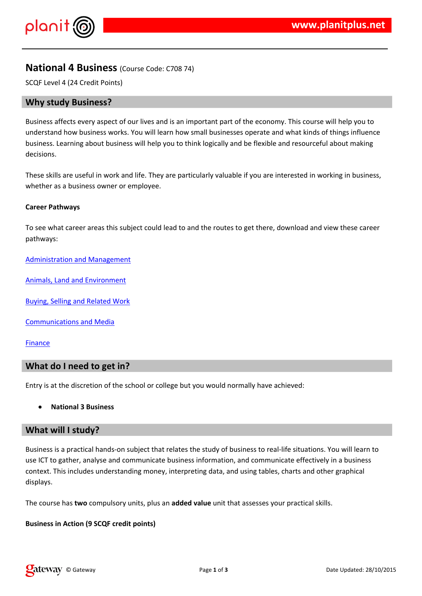$!$  " # \$  $\%$  % &

- %& + " & %& - \*-\$ %& \*%\$%\$%\$(\$\$\$- \$ 0%-\$ & - )(%&\$  $($  % % & +

 $\frac{1}{100}$ ,  $\frac{1}{100}$  .  $\frac{1}{100}$  .  $\frac{1}{100}$  .  $\frac{1}{100}$  .  $\frac{1}{100}$  .  $\frac{1}{100}$  .  $\frac{1}{100}$  .  $\frac{1}{100}$  .  $\frac{1}{100}$  .  $\frac{1}{100}$  .  $\frac{1}{100}$  .  $\frac{1}{100}$  .  $\frac{1}{100}$  .  $\frac{1}{100}$  .  $\frac{1}{100}$   $-$  % & ) &\$ +

, \* (  $-2 * \%$  (  $\$\$$  & \* \* 1 & \$ & # %

 $3$   $\frac{9}{6}$  &  $\frac{9}{6}$   $\frac{9}{6}$  & & & &

 $38\%$ ) \$ 1 &  $38\#$ % &  $8$ 

 $\frac{1}{2}$  % & 1 \$ \$ % 6 & \$ 7 .

 $( ) 8\% ( )% 8 8 4 %$ 

 $! \% 8 8 ($ 

5& % \* % ((\* %\$& \$\$-\* \$ & )\*\$#\$ (\*% #

 $1$  % & % (% ( $-$ \$ \*( & \* $\frac{1}{9}$  & \* ) = % & \$8\$% % % \$\$\$& & + / 9, \* 1 & \$()) & 2% (- % & % & ) % (& 1) & % ( % % % % % & % &  $(8.0 + %8\%$ \$ 8.) 88. % 8% 8. % 8. % 8. 8% 8. -\$ 1 (\*8. \* \*% (\$  $\%$  \$ +

 $, *$  (  $*$  ( ) \$ & % 1 & \$  $*$  & % . ‰%S\$\$

 $!$  "# \$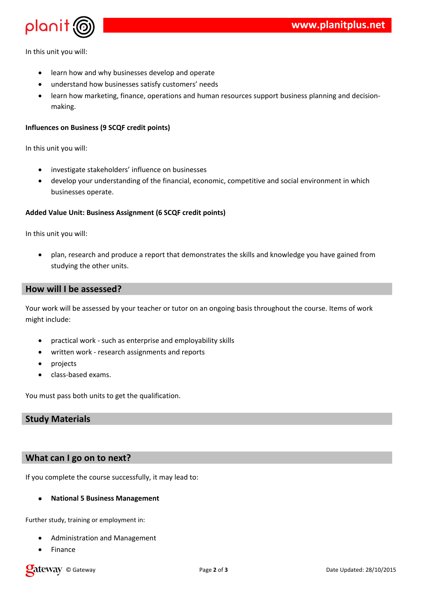

In this unit you will:

- learn how and why businesses develop and operate
- understand how businesses satisfy customers' needs
- learn how marketing, finance, operations and human resources support business planning and decisionmaking.

### **Influences on Business (9 SCQF credit points)**

In this unit you will:

- investigate stakeholders' influence on businesses
- develop your understanding of the financial, economic, competitive and social environment in which businesses operate.

#### **Added Value Unit: Business Assignment (6 SCQF credit points)**

In this unit you will:

 plan, research and produce a report that demonstrates the skills and knowledge you have gained from studying the other units.

# **How will I be assessed?**

Your work will be assessed by your teacher or tutor on an ongoing basis throughout the course. Items of work might include:

- practical work such as enterprise and employability skills
- written work research assignments and reports
- projects
- class-based exams.

You must pass both units to get the qualification.

### **Study Materials**

## **What can I go on to next?**

If you complete the course successfully, it may lead to:

#### **National 5 Business Management**

Further study, training or employment in:

- Administration and Management
- Finance